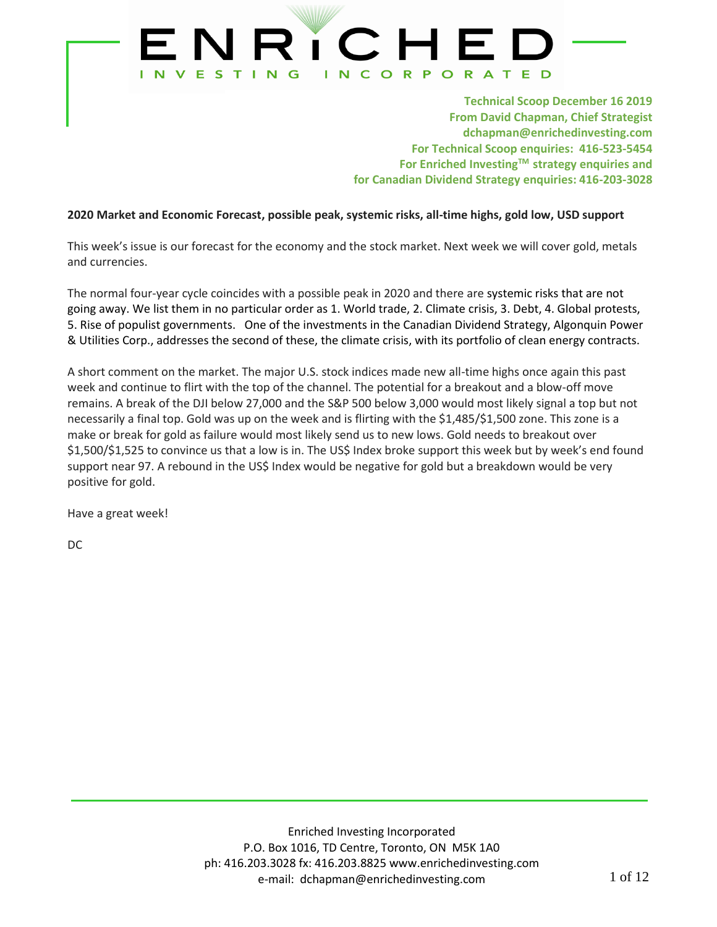

**Technical Scoop December 16 2019 From David Chapman, Chief Strategist dchapman@enrichedinvesting.com For Technical Scoop enquiries: 416-523-5454 For Enriched InvestingTM strategy enquiries and for Canadian Dividend Strategy enquiries: 416-203-3028**

### **2020 Market and Economic Forecast, possible peak, systemic risks, all-time highs, gold low, USD support**

This week's issue is our forecast for the economy and the stock market. Next week we will cover gold, metals and currencies.

The normal four-year cycle coincides with a possible peak in 2020 and there are systemic risks that are not going away. We list them in no particular order as 1. World trade, 2. Climate crisis, 3. Debt, 4. Global protests, 5. Rise of populist governments. One of the investments in the Canadian Dividend Strategy, Algonquin Power & Utilities Corp., addresses the second of these, the climate crisis, with its portfolio of clean energy contracts.

A short comment on the market. The major U.S. stock indices made new all-time highs once again this past week and continue to flirt with the top of the channel. The potential for a breakout and a blow-off move remains. A break of the DJI below 27,000 and the S&P 500 below 3,000 would most likely signal a top but not necessarily a final top. Gold was up on the week and is flirting with the \$1,485/\$1,500 zone. This zone is a make or break for gold as failure would most likely send us to new lows. Gold needs to breakout over \$1,500/\$1,525 to convince us that a low is in. The US\$ Index broke support this week but by week's end found support near 97. A rebound in the US\$ Index would be negative for gold but a breakdown would be very positive for gold.

Have a great week!

DC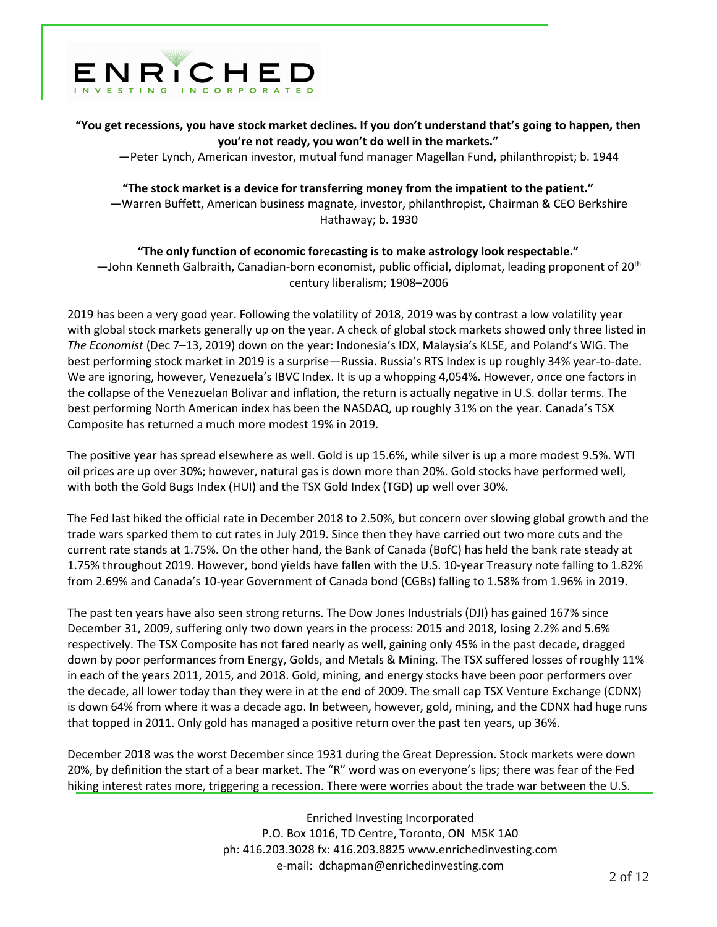

**"You get recessions, you have stock market declines. If you don't understand that's going to happen, then you're not ready, you won't do well in the markets."**

—Peter Lynch, American investor, mutual fund manager Magellan Fund, philanthropist; b. 1944

## **"The stock market is a device for transferring money from the impatient to the patient."** —Warren Buffett, American business magnate, investor, philanthropist, Chairman & CEO Berkshire

Hathaway; b. 1930

## **"The only function of economic forecasting is to make astrology look respectable."**  $-$ John Kenneth Galbraith, Canadian-born economist, public official, diplomat, leading proponent of 20<sup>th</sup> century liberalism; 1908–2006

2019 has been a very good year. Following the volatility of 2018, 2019 was by contrast a low volatility year with global stock markets generally up on the year. A check of global stock markets showed only three listed in *The Economist* (Dec 7–13, 2019) down on the year: Indonesia's IDX, Malaysia's KLSE, and Poland's WIG. The best performing stock market in 2019 is a surprise—Russia. Russia's RTS Index is up roughly 34% year-to-date. We are ignoring, however, Venezuela's IBVC Index. It is up a whopping 4,054%. However, once one factors in the collapse of the Venezuelan Bolivar and inflation, the return is actually negative in U.S. dollar terms. The best performing North American index has been the NASDAQ, up roughly 31% on the year. Canada's TSX Composite has returned a much more modest 19% in 2019.

The positive year has spread elsewhere as well. Gold is up 15.6%, while silver is up a more modest 9.5%. WTI oil prices are up over 30%; however, natural gas is down more than 20%. Gold stocks have performed well, with both the Gold Bugs Index (HUI) and the TSX Gold Index (TGD) up well over 30%.

The Fed last hiked the official rate in December 2018 to 2.50%, but concern over slowing global growth and the trade wars sparked them to cut rates in July 2019. Since then they have carried out two more cuts and the current rate stands at 1.75%. On the other hand, the Bank of Canada (BofC) has held the bank rate steady at 1.75% throughout 2019. However, bond yields have fallen with the U.S. 10-year Treasury note falling to 1.82% from 2.69% and Canada's 10-year Government of Canada bond (CGBs) falling to 1.58% from 1.96% in 2019.

The past ten years have also seen strong returns. The Dow Jones Industrials (DJI) has gained 167% since December 31, 2009, suffering only two down years in the process: 2015 and 2018, losing 2.2% and 5.6% respectively. The TSX Composite has not fared nearly as well, gaining only 45% in the past decade, dragged down by poor performances from Energy, Golds, and Metals & Mining. The TSX suffered losses of roughly 11% in each of the years 2011, 2015, and 2018. Gold, mining, and energy stocks have been poor performers over the decade, all lower today than they were in at the end of 2009. The small cap TSX Venture Exchange (CDNX) is down 64% from where it was a decade ago. In between, however, gold, mining, and the CDNX had huge runs that topped in 2011. Only gold has managed a positive return over the past ten years, up 36%.

December 2018 was the worst December since 1931 during the Great Depression. Stock markets were down 20%, by definition the start of a bear market. The "R" word was on everyone's lips; there was fear of the Fed hiking interest rates more, triggering a recession. There were worries about the trade war between the U.S.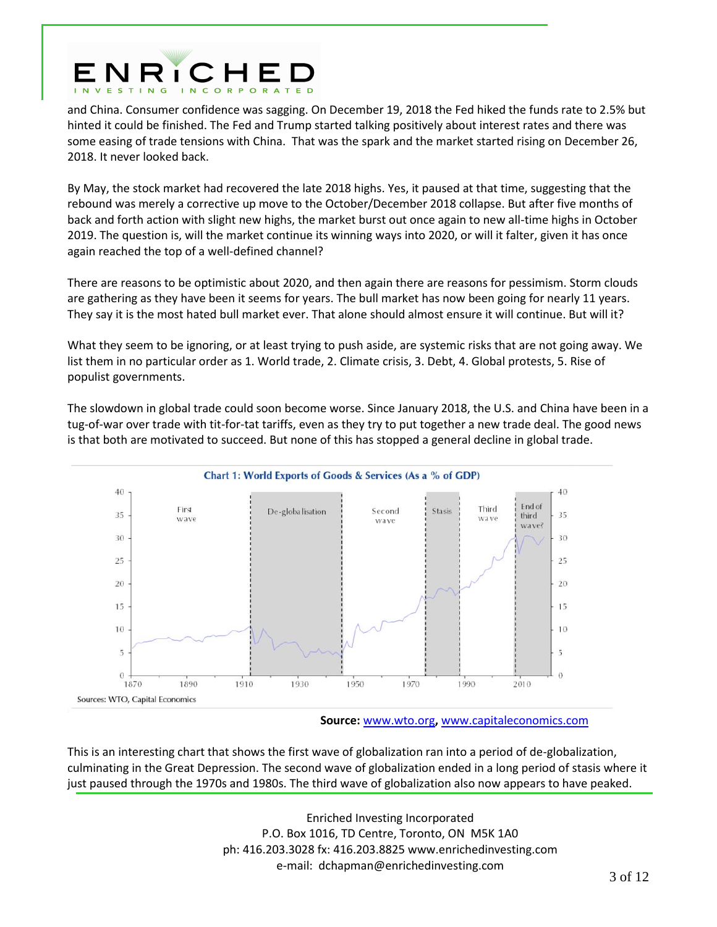

and China. Consumer confidence was sagging. On December 19, 2018 the Fed hiked the funds rate to 2.5% but hinted it could be finished. The Fed and Trump started talking positively about interest rates and there was some easing of trade tensions with China. That was the spark and the market started rising on December 26, 2018. It never looked back.

By May, the stock market had recovered the late 2018 highs. Yes, it paused at that time, suggesting that the rebound was merely a corrective up move to the October/December 2018 collapse. But after five months of back and forth action with slight new highs, the market burst out once again to new all-time highs in October 2019. The question is, will the market continue its winning ways into 2020, or will it falter, given it has once again reached the top of a well-defined channel?

There are reasons to be optimistic about 2020, and then again there are reasons for pessimism. Storm clouds are gathering as they have been it seems for years. The bull market has now been going for nearly 11 years. They say it is the most hated bull market ever. That alone should almost ensure it will continue. But will it?

What they seem to be ignoring, or at least trying to push aside, are systemic risks that are not going away. We list them in no particular order as 1. World trade, 2. Climate crisis, 3. Debt, 4. Global protests, 5. Rise of populist governments.

The slowdown in global trade could soon become worse. Since January 2018, the U.S. and China have been in a tug-of-war over trade with tit-for-tat tariffs, even as they try to put together a new trade deal. The good news is that both are motivated to succeed. But none of this has stopped a general decline in global trade.



**Source:** [www.wto.org](http://www.wto.org/)**,** [www.capitaleconomics.com](http://www.capitaleconomics.com/)

This is an interesting chart that shows the first wave of globalization ran into a period of de-globalization, culminating in the Great Depression. The second wave of globalization ended in a long period of stasis where it just paused through the 1970s and 1980s. The third wave of globalization also now appears to have peaked.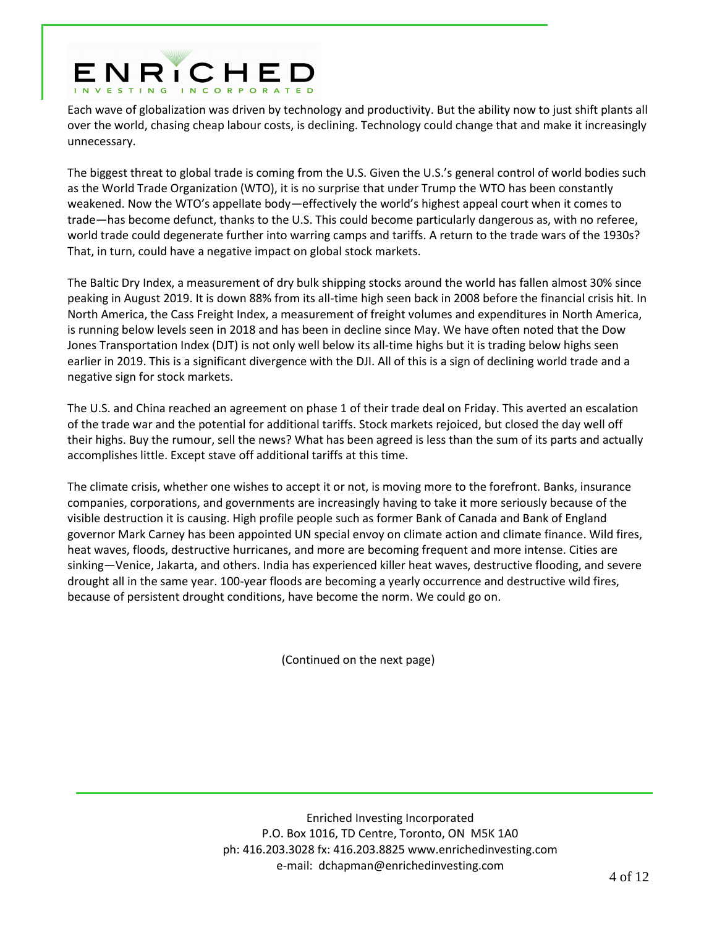# ENRICHED

Each wave of globalization was driven by technology and productivity. But the ability now to just shift plants all over the world, chasing cheap labour costs, is declining. Technology could change that and make it increasingly unnecessary.

The biggest threat to global trade is coming from the U.S. Given the U.S.'s general control of world bodies such as the World Trade Organization (WTO), it is no surprise that under Trump the WTO has been constantly weakened. Now the WTO's appellate body—effectively the world's highest appeal court when it comes to trade—has become defunct, thanks to the U.S. This could become particularly dangerous as, with no referee, world trade could degenerate further into warring camps and tariffs. A return to the trade wars of the 1930s? That, in turn, could have a negative impact on global stock markets.

The Baltic Dry Index, a measurement of dry bulk shipping stocks around the world has fallen almost 30% since peaking in August 2019. It is down 88% from its all-time high seen back in 2008 before the financial crisis hit. In North America, the Cass Freight Index, a measurement of freight volumes and expenditures in North America, is running below levels seen in 2018 and has been in decline since May. We have often noted that the Dow Jones Transportation Index (DJT) is not only well below its all-time highs but it is trading below highs seen earlier in 2019. This is a significant divergence with the DJI. All of this is a sign of declining world trade and a negative sign for stock markets.

The U.S. and China reached an agreement on phase 1 of their trade deal on Friday. This averted an escalation of the trade war and the potential for additional tariffs. Stock markets rejoiced, but closed the day well off their highs. Buy the rumour, sell the news? What has been agreed is less than the sum of its parts and actually accomplishes little. Except stave off additional tariffs at this time.

The climate crisis, whether one wishes to accept it or not, is moving more to the forefront. Banks, insurance companies, corporations, and governments are increasingly having to take it more seriously because of the visible destruction it is causing. High profile people such as former Bank of Canada and Bank of England governor Mark Carney has been appointed UN special envoy on climate action and climate finance. Wild fires, heat waves, floods, destructive hurricanes, and more are becoming frequent and more intense. Cities are sinking—Venice, Jakarta, and others. India has experienced killer heat waves, destructive flooding, and severe drought all in the same year. 100-year floods are becoming a yearly occurrence and destructive wild fires, because of persistent drought conditions, have become the norm. We could go on.

(Continued on the next page)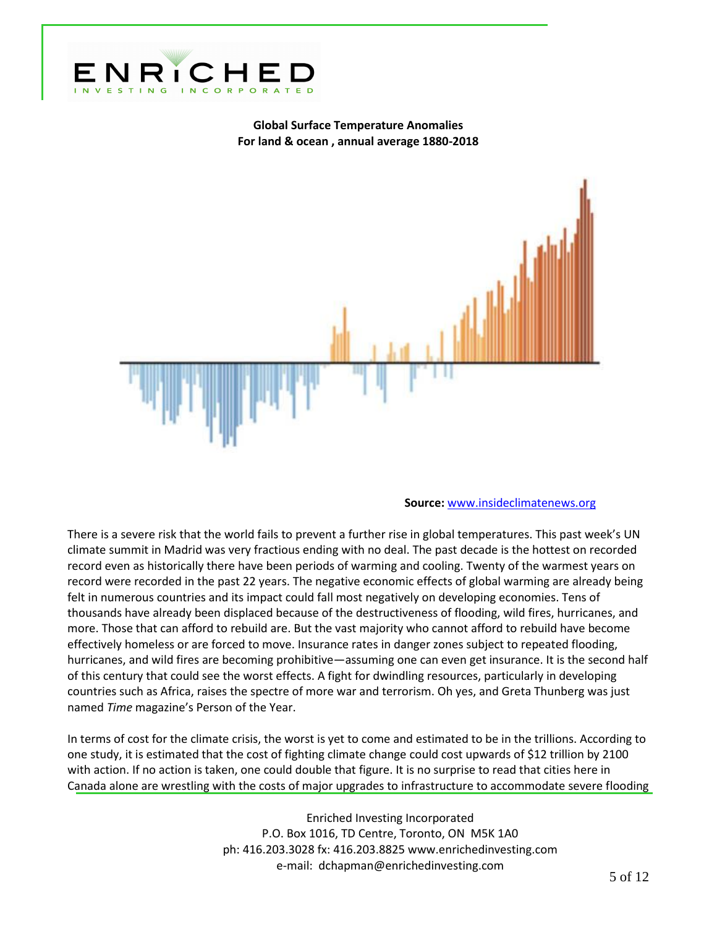

## **Global Surface Temperature Anomalies For land & ocean , annual average 1880-2018**



#### **Source:** [www.insideclimatenews.org](http://www.insideclimatenews.org/)

There is a severe risk that the world fails to prevent a further rise in global temperatures. This past week's UN climate summit in Madrid was very fractious ending with no deal. The past decade is the hottest on recorded record even as historically there have been periods of warming and cooling. Twenty of the warmest years on record were recorded in the past 22 years. The negative economic effects of global warming are already being felt in numerous countries and its impact could fall most negatively on developing economies. Tens of thousands have already been displaced because of the destructiveness of flooding, wild fires, hurricanes, and more. Those that can afford to rebuild are. But the vast majority who cannot afford to rebuild have become effectively homeless or are forced to move. Insurance rates in danger zones subject to repeated flooding, hurricanes, and wild fires are becoming prohibitive—assuming one can even get insurance. It is the second half of this century that could see the worst effects. A fight for dwindling resources, particularly in developing countries such as Africa, raises the spectre of more war and terrorism. Oh yes, and Greta Thunberg was just named *Time* magazine's Person of the Year.

In terms of cost for the climate crisis, the worst is yet to come and estimated to be in the trillions. According to one study, it is estimated that the cost of fighting climate change could cost upwards of \$12 trillion by 2100 with action. If no action is taken, one could double that figure. It is no surprise to read that cities here in Canada alone are wrestling with the costs of major upgrades to infrastructure to accommodate severe flooding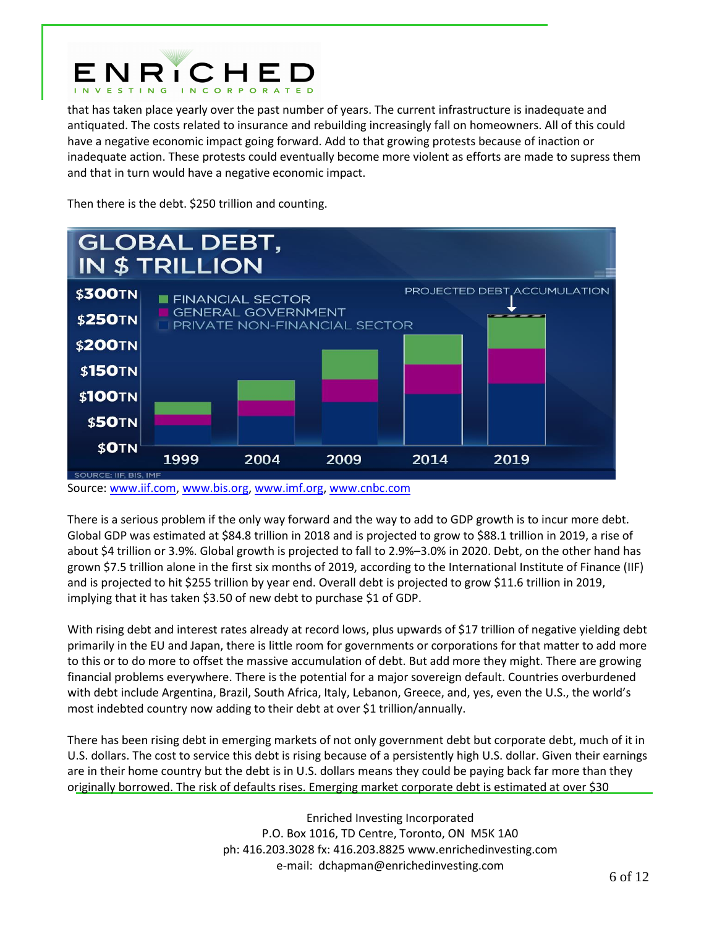

that has taken place yearly over the past number of years. The current infrastructure is inadequate and antiquated. The costs related to insurance and rebuilding increasingly fall on homeowners. All of this could have a negative economic impact going forward. Add to that growing protests because of inaction or inadequate action. These protests could eventually become more violent as efforts are made to supress them and that in turn would have a negative economic impact.

Then there is the debt. \$250 trillion and counting.



Source[: www.iif.com,](http://www.iif.com/) [www.bis.org,](http://www.bis.org/) [www.imf.org,](http://www.imf.org/) [www.cnbc.com](http://www.cnbc.com/)

There is a serious problem if the only way forward and the way to add to GDP growth is to incur more debt. Global GDP was estimated at \$84.8 trillion in 2018 and is projected to grow to \$88.1 trillion in 2019, a rise of about \$4 trillion or 3.9%. Global growth is projected to fall to 2.9%–3.0% in 2020. Debt, on the other hand has grown \$7.5 trillion alone in the first six months of 2019, according to the International Institute of Finance (IIF) and is projected to hit \$255 trillion by year end. Overall debt is projected to grow \$11.6 trillion in 2019, implying that it has taken \$3.50 of new debt to purchase \$1 of GDP.

With rising debt and interest rates already at record lows, plus upwards of \$17 trillion of negative yielding debt primarily in the EU and Japan, there is little room for governments or corporations for that matter to add more to this or to do more to offset the massive accumulation of debt. But add more they might. There are growing financial problems everywhere. There is the potential for a major sovereign default. Countries overburdened with debt include Argentina, Brazil, South Africa, Italy, Lebanon, Greece, and, yes, even the U.S., the world's most indebted country now adding to their debt at over \$1 trillion/annually.

There has been rising debt in emerging markets of not only government debt but corporate debt, much of it in U.S. dollars. The cost to service this debt is rising because of a persistently high U.S. dollar. Given their earnings are in their home country but the debt is in U.S. dollars means they could be paying back far more than they originally borrowed. The risk of defaults rises. Emerging market corporate debt is estimated at over \$30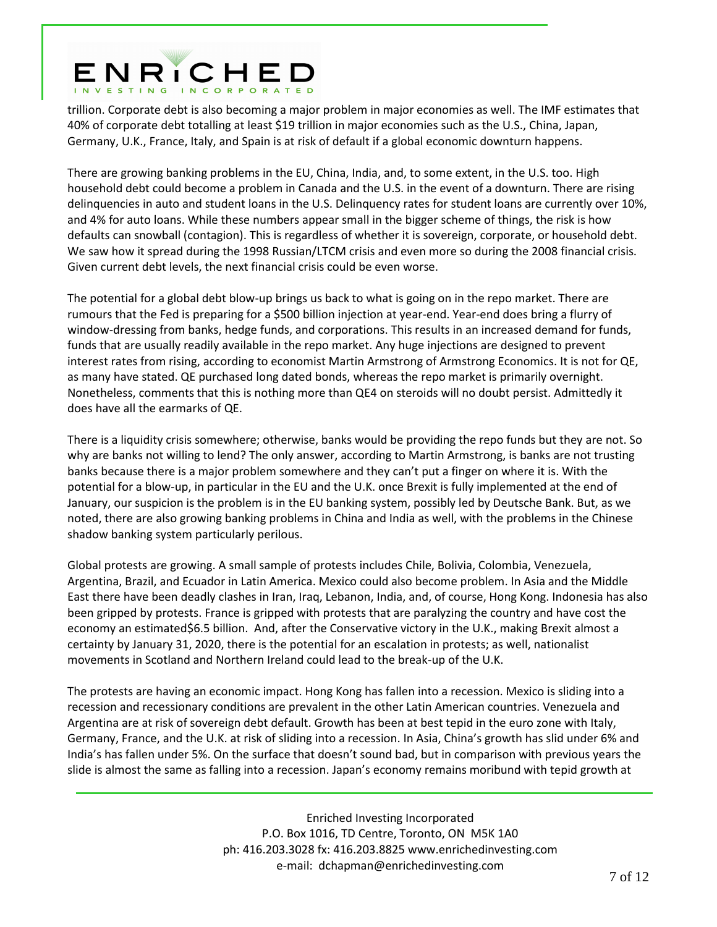# ENRICHED

trillion. Corporate debt is also becoming a major problem in major economies as well. The IMF estimates that 40% of corporate debt totalling at least \$19 trillion in major economies such as the U.S., China, Japan, Germany, U.K., France, Italy, and Spain is at risk of default if a global economic downturn happens.

There are growing banking problems in the EU, China, India, and, to some extent, in the U.S. too. High household debt could become a problem in Canada and the U.S. in the event of a downturn. There are rising delinquencies in auto and student loans in the U.S. Delinquency rates for student loans are currently over 10%, and 4% for auto loans. While these numbers appear small in the bigger scheme of things, the risk is how defaults can snowball (contagion). This is regardless of whether it is sovereign, corporate, or household debt. We saw how it spread during the 1998 Russian/LTCM crisis and even more so during the 2008 financial crisis. Given current debt levels, the next financial crisis could be even worse.

The potential for a global debt blow-up brings us back to what is going on in the repo market. There are rumours that the Fed is preparing for a \$500 billion injection at year-end. Year-end does bring a flurry of window-dressing from banks, hedge funds, and corporations. This results in an increased demand for funds, funds that are usually readily available in the repo market. Any huge injections are designed to prevent interest rates from rising, according to economist Martin Armstrong of Armstrong Economics. It is not for QE, as many have stated. QE purchased long dated bonds, whereas the repo market is primarily overnight. Nonetheless, comments that this is nothing more than QE4 on steroids will no doubt persist. Admittedly it does have all the earmarks of QE.

There is a liquidity crisis somewhere; otherwise, banks would be providing the repo funds but they are not. So why are banks not willing to lend? The only answer, according to Martin Armstrong, is banks are not trusting banks because there is a major problem somewhere and they can't put a finger on where it is. With the potential for a blow-up, in particular in the EU and the U.K. once Brexit is fully implemented at the end of January, our suspicion is the problem is in the EU banking system, possibly led by Deutsche Bank. But, as we noted, there are also growing banking problems in China and India as well, with the problems in the Chinese shadow banking system particularly perilous.

Global protests are growing. A small sample of protests includes Chile, Bolivia, Colombia, Venezuela, Argentina, Brazil, and Ecuador in Latin America. Mexico could also become problem. In Asia and the Middle East there have been deadly clashes in Iran, Iraq, Lebanon, India, and, of course, Hong Kong. Indonesia has also been gripped by protests. France is gripped with protests that are paralyzing the country and have cost the economy an estimated\$6.5 billion. And, after the Conservative victory in the U.K., making Brexit almost a certainty by January 31, 2020, there is the potential for an escalation in protests; as well, nationalist movements in Scotland and Northern Ireland could lead to the break-up of the U.K.

The protests are having an economic impact. Hong Kong has fallen into a recession. Mexico is sliding into a recession and recessionary conditions are prevalent in the other Latin American countries. Venezuela and Argentina are at risk of sovereign debt default. Growth has been at best tepid in the euro zone with Italy, Germany, France, and the U.K. at risk of sliding into a recession. In Asia, China's growth has slid under 6% and India's has fallen under 5%. On the surface that doesn't sound bad, but in comparison with previous years the slide is almost the same as falling into a recession. Japan's economy remains moribund with tepid growth at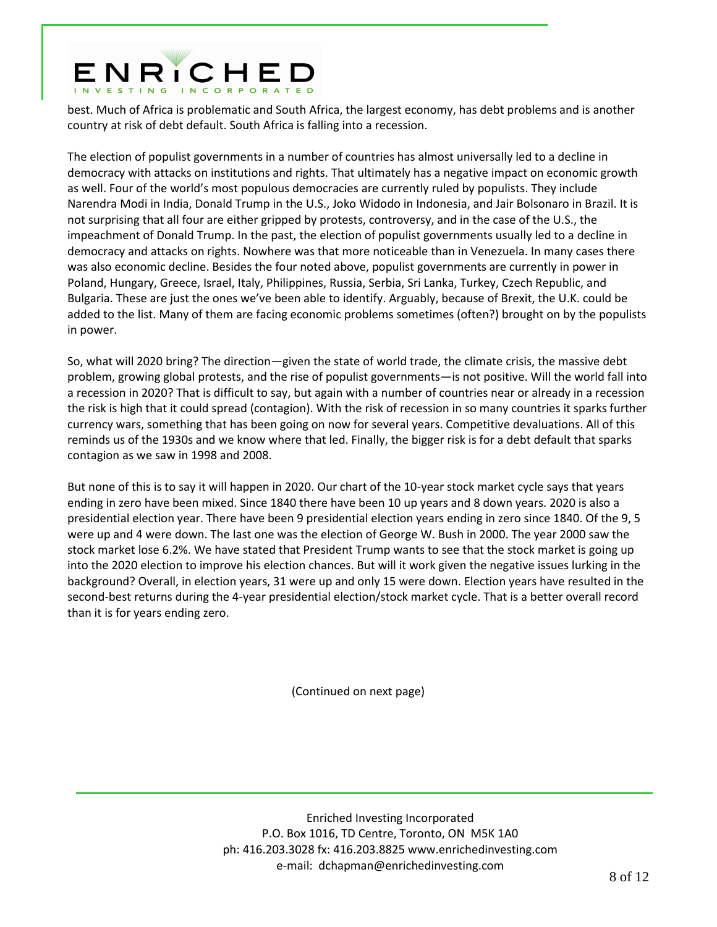# ENRICHED

best. Much of Africa is problematic and South Africa, the largest economy, has debt problems and is another country at risk of debt default. South Africa is falling into a recession.

The election of populist governments in a number of countries has almost universally led to a decline in democracy with attacks on institutions and rights. That ultimately has a negative impact on economic growth as well. Four of the world's most populous democracies are currently ruled by populists. They include Narendra Modi in India, Donald Trump in the U.S., Joko Widodo in Indonesia, and Jair Bolsonaro in Brazil. It is not surprising that all four are either gripped by protests, controversy, and in the case of the U.S., the impeachment of Donald Trump. In the past, the election of populist governments usually led to a decline in democracy and attacks on rights. Nowhere was that more noticeable than in Venezuela. In many cases there was also economic decline. Besides the four noted above, populist governments are currently in power in Poland, Hungary, Greece, Israel, Italy, Philippines, Russia, Serbia, Sri Lanka, Turkey, Czech Republic, and Bulgaria. These are just the ones we've been able to identify. Arguably, because of Brexit, the U.K. could be added to the list. Many of them are facing economic problems sometimes (often?) brought on by the populists in power.

So, what will 2020 bring? The direction—given the state of world trade, the climate crisis, the massive debt problem, growing global protests, and the rise of populist governments—is not positive. Will the world fall into a recession in 2020? That is difficult to say, but again with a number of countries near or already in a recession the risk is high that it could spread (contagion). With the risk of recession in so many countries it sparks further currency wars, something that has been going on now for several years. Competitive devaluations. All of this reminds us of the 1930s and we know where that led. Finally, the bigger risk is for a debt default that sparks contagion as we saw in 1998 and 2008.

But none of this is to say it will happen in 2020. Our chart of the 10-year stock market cycle says that years ending in zero have been mixed. Since 1840 there have been 10 up years and 8 down years. 2020 is also a presidential election year. There have been 9 presidential election years ending in zero since 1840. Of the 9, 5 were up and 4 were down. The last one was the election of George W. Bush in 2000. The year 2000 saw the stock market lose 6.2%. We have stated that President Trump wants to see that the stock market is going up into the 2020 election to improve his election chances. But will it work given the negative issues lurking in the background? Overall, in election years, 31 were up and only 15 were down. Election years have resulted in the second-best returns during the 4-year presidential election/stock market cycle. That is a better overall record than it is for years ending zero.

(Continued on next page)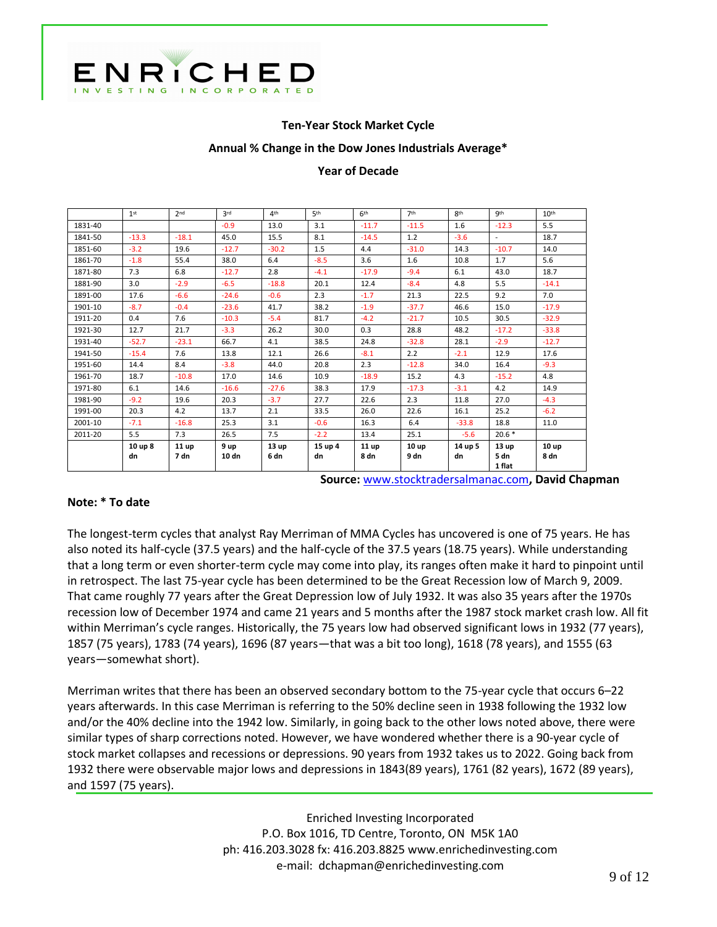

### **Ten-Year Stock Market Cycle**

#### **Annual % Change in the Dow Jones Industrials Average\***

#### **Year of Decade**

|         | 1 <sup>st</sup> | 2 <sub>nd</sub> | 2rd     | 4 <sup>th</sup> | 5 <sup>th</sup> | 6 <sup>th</sup> | 7 <sup>th</sup>  | <b>Rth</b> | <b>gth</b>       | 10 <sup>th</sup> |
|---------|-----------------|-----------------|---------|-----------------|-----------------|-----------------|------------------|------------|------------------|------------------|
| 1831-40 |                 |                 | $-0.9$  | 13.0            | 3.1             | $-11.7$         | $-11.5$          | 1.6        | $-12.3$          | 5.5              |
| 1841-50 | $-13.3$         | $-18.1$         | 45.0    | 15.5            | 8.1             | $-14.5$         | 1.2              | $-3.6$     |                  | 18.7             |
| 1851-60 | $-3.2$          | 19.6            | $-12.7$ | $-30.2$         | 1.5             | 4.4             | $-31.0$          | 14.3       | $-10.7$          | 14.0             |
| 1861-70 | $-1.8$          | 55.4            | 38.0    | 6.4             | $-8.5$          | 3.6             | 1.6              | 10.8       | 1.7              | 5.6              |
| 1871-80 | 7.3             | 6.8             | $-12.7$ | 2.8             | $-4.1$          | $-17.9$         | $-9.4$           | 6.1        | 43.0             | 18.7             |
| 1881-90 | 3.0             | $-2.9$          | $-6.5$  | $-18.8$         | 20.1            | 12.4            | $-8.4$           | 4.8        | 5.5              | $-14.1$          |
| 1891-00 | 17.6            | $-6.6$          | $-24.6$ | $-0.6$          | 2.3             | $-1.7$          | 21.3             | 22.5       | 9.2              | 7.0              |
| 1901-10 | $-8.7$          | $-0.4$          | $-23.6$ | 41.7            | 38.2            | $-1.9$          | $-37.7$          | 46.6       | 15.0             | $-17.9$          |
| 1911-20 | 0.4             | 7.6             | $-10.3$ | $-5.4$          | 81.7            | $-4.2$          | $-21.7$          | 10.5       | 30.5             | $-32.9$          |
| 1921-30 | 12.7            | 21.7            | $-3.3$  | 26.2            | 30.0            | 0.3             | 28.8             | 48.2       | $-17.2$          | $-33.8$          |
| 1931-40 | $-52.7$         | $-23.1$         | 66.7    | 4.1             | 38.5            | 24.8            | $-32.8$          | 28.1       | $-2.9$           | $-12.7$          |
| 1941-50 | $-15.4$         | 7.6             | 13.8    | 12.1            | 26.6            | $-8.1$          | 2.2              | $-2.1$     | 12.9             | 17.6             |
| 1951-60 | 14.4            | 8.4             | $-3.8$  | 44.0            | 20.8            | 2.3             | $-12.8$          | 34.0       | 16.4             | $-9.3$           |
| 1961-70 | 18.7            | $-10.8$         | 17.0    | 14.6            | 10.9            | $-18.9$         | 15.2             | 4.3        | $-15.2$          | 4.8              |
| 1971-80 | 6.1             | 14.6            | $-16.6$ | $-27.6$         | 38.3            | 17.9            | $-17.3$          | $-3.1$     | 4.2              | 14.9             |
| 1981-90 | $-9.2$          | 19.6            | 20.3    | $-3.7$          | 27.7            | 22.6            | 2.3              | 11.8       | 27.0             | $-4.3$           |
| 1991-00 | 20.3            | 4.2             | 13.7    | 2.1             | 33.5            | 26.0            | 22.6             | 16.1       | 25.2             | $-6.2$           |
| 2001-10 | $-7.1$          | $-16.8$         | 25.3    | 3.1             | $-0.6$          | 16.3            | 6.4              | $-33.8$    | 18.8             | 11.0             |
| 2011-20 | 5.5             | 7.3             | 26.5    | 7.5             | $-2.2$          | 13.4            | 25.1             | $-5.6$     | $20.6*$          |                  |
|         | 10 up 8         | 11 up           | 9 up    | 13 up           | 15 up 4         | 11 up           | 10 <sub>up</sub> | 14 up 5    | 13 <sub>up</sub> | 10 <sub>up</sub> |
|         | dn              | 7 dn            | 10 dn   | 6 dn            | dn              | 8 dn            | 9 dn             | dn         | 5 dn<br>1 flat   | 8 dn             |

**Source:** [www.stocktradersalmanac.com](http://www.stocktradersalmanac.com/)**, David Chapman** 

#### **Note: \* To date**

The longest-term cycles that analyst Ray Merriman of MMA Cycles has uncovered is one of 75 years. He has also noted its half-cycle (37.5 years) and the half-cycle of the 37.5 years (18.75 years). While understanding that a long term or even shorter-term cycle may come into play, its ranges often make it hard to pinpoint until in retrospect. The last 75-year cycle has been determined to be the Great Recession low of March 9, 2009. That came roughly 77 years after the Great Depression low of July 1932. It was also 35 years after the 1970s recession low of December 1974 and came 21 years and 5 months after the 1987 stock market crash low. All fit within Merriman's cycle ranges. Historically, the 75 years low had observed significant lows in 1932 (77 years), 1857 (75 years), 1783 (74 years), 1696 (87 years—that was a bit too long), 1618 (78 years), and 1555 (63 years—somewhat short).

Merriman writes that there has been an observed secondary bottom to the 75-year cycle that occurs 6–22 years afterwards. In this case Merriman is referring to the 50% decline seen in 1938 following the 1932 low and/or the 40% decline into the 1942 low. Similarly, in going back to the other lows noted above, there were similar types of sharp corrections noted. However, we have wondered whether there is a 90-year cycle of stock market collapses and recessions or depressions. 90 years from 1932 takes us to 2022. Going back from 1932 there were observable major lows and depressions in 1843(89 years), 1761 (82 years), 1672 (89 years), and 1597 (75 years).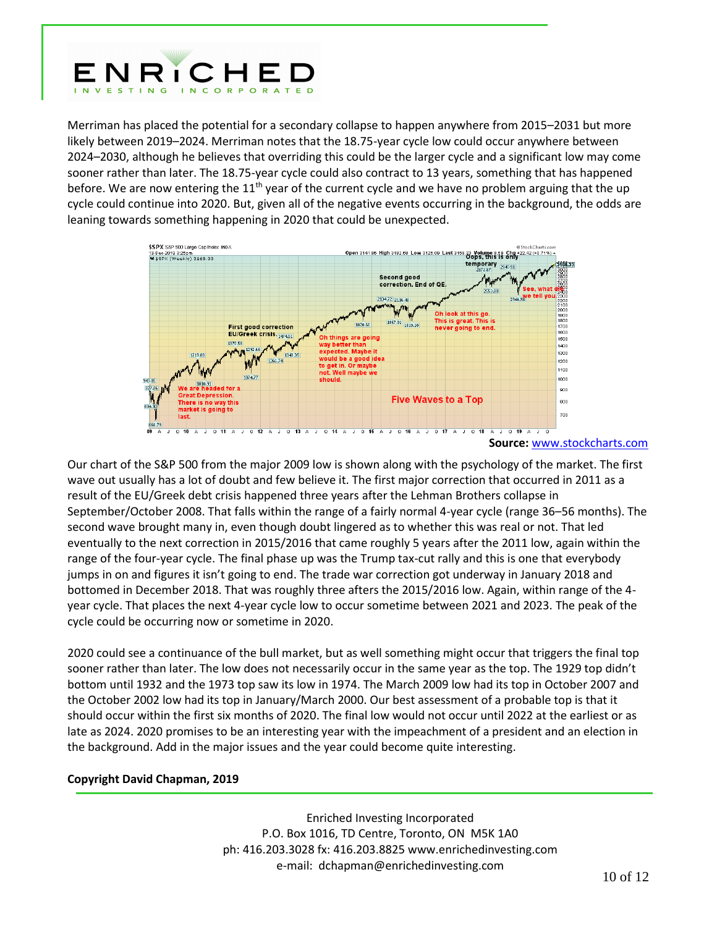

Merriman has placed the potential for a secondary collapse to happen anywhere from 2015–2031 but more likely between 2019–2024. Merriman notes that the 18.75-year cycle low could occur anywhere between 2024–2030, although he believes that overriding this could be the larger cycle and a significant low may come sooner rather than later. The 18.75-year cycle could also contract to 13 years, something that has happened before. We are now entering the  $11<sup>th</sup>$  year of the current cycle and we have no problem arguing that the up cycle could continue into 2020. But, given all of the negative events occurring in the background, the odds are leaning towards something happening in 2020 that could be unexpected.



**Source:** [www.stockcharts.com](http://www.stockcharts.com/)

Our chart of the S&P 500 from the major 2009 low is shown along with the psychology of the market. The first wave out usually has a lot of doubt and few believe it. The first major correction that occurred in 2011 as a result of the EU/Greek debt crisis happened three years after the Lehman Brothers collapse in September/October 2008. That falls within the range of a fairly normal 4-year cycle (range 36–56 months). The second wave brought many in, even though doubt lingered as to whether this was real or not. That led eventually to the next correction in 2015/2016 that came roughly 5 years after the 2011 low, again within the range of the four-year cycle. The final phase up was the Trump tax-cut rally and this is one that everybody jumps in on and figures it isn't going to end. The trade war correction got underway in January 2018 and bottomed in December 2018. That was roughly three afters the 2015/2016 low. Again, within range of the 4 year cycle. That places the next 4-year cycle low to occur sometime between 2021 and 2023. The peak of the cycle could be occurring now or sometime in 2020.

2020 could see a continuance of the bull market, but as well something might occur that triggers the final top sooner rather than later. The low does not necessarily occur in the same year as the top. The 1929 top didn't bottom until 1932 and the 1973 top saw its low in 1974. The March 2009 low had its top in October 2007 and the October 2002 low had its top in January/March 2000. Our best assessment of a probable top is that it should occur within the first six months of 2020. The final low would not occur until 2022 at the earliest or as late as 2024. 2020 promises to be an interesting year with the impeachment of a president and an election in the background. Add in the major issues and the year could become quite interesting.

### **Copyright David Chapman, 2019**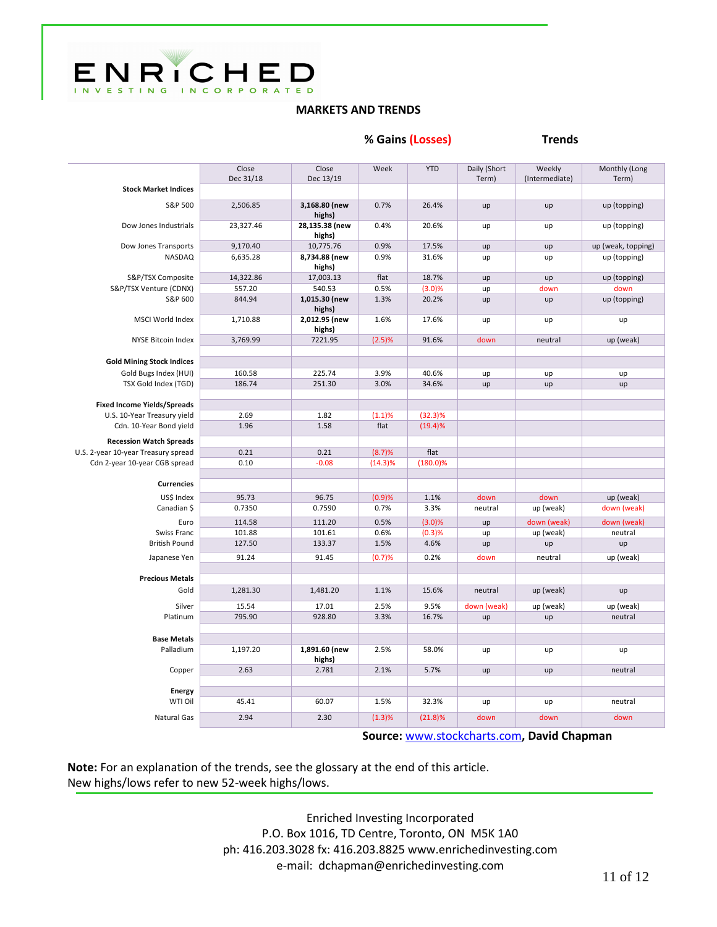

## **MARKETS AND TRENDS**

**% Gains (Losses) Trends** 

|                                     | Close           | Close                    | Week       | <b>YTD</b>  | Daily (Short | Weekly         | Monthly (Long      |
|-------------------------------------|-----------------|--------------------------|------------|-------------|--------------|----------------|--------------------|
|                                     | Dec 31/18       | Dec 13/19                |            |             | Term)        | (Intermediate) | Term)              |
| <b>Stock Market Indices</b>         |                 |                          |            |             |              |                |                    |
| S&P 500                             | 2,506.85        | 3,168.80 (new<br>highs)  | 0.7%       | 26.4%       | up           | up             | up (topping)       |
| Dow Jones Industrials               | 23,327.46       | 28,135.38 (new<br>highs) | 0.4%       | 20.6%       | up           | up             | up (topping)       |
| Dow Jones Transports                | 9,170.40        | 10,775.76                | 0.9%       | 17.5%       | up           | up             | up (weak, topping) |
| <b>NASDAQ</b>                       | 6,635.28        | 8,734.88 (new<br>highs)  | 0.9%       | 31.6%       | up           | up             | up (topping)       |
| S&P/TSX Composite                   | 14,322.86       | 17,003.13                | flat       | 18.7%       | up           | up             | up (topping)       |
| S&P/TSX Venture (CDNX)              | 557.20          | 540.53                   | 0.5%       | (3.0)%      | up           | down           | down               |
| S&P 600                             | 844.94          | 1,015.30 (new<br>highs)  | 1.3%       | 20.2%       | up           | up             | up (topping)       |
| <b>MSCI World Index</b>             | 1,710.88        | 2,012.95 (new<br>highs)  | 1.6%       | 17.6%       | up           | up             | up                 |
| NYSE Bitcoin Index                  | 3,769.99        | 7221.95                  | (2.5)%     | 91.6%       | down         | neutral        | up (weak)          |
|                                     |                 |                          |            |             |              |                |                    |
| <b>Gold Mining Stock Indices</b>    |                 |                          |            |             |              |                |                    |
| Gold Bugs Index (HUI)               | 160.58          | 225.74                   | 3.9%       | 40.6%       | up           | up             | up                 |
| TSX Gold Index (TGD)                | 186.74          | 251.30                   | 3.0%       | 34.6%       | up           | up             | up                 |
| <b>Fixed Income Yields/Spreads</b>  |                 |                          |            |             |              |                |                    |
| U.S. 10-Year Treasury yield         | 2.69            | 1.82                     | (1.1)%     | $(32.3)\%$  |              |                |                    |
| Cdn. 10-Year Bond yield             | 1.96            | 1.58                     | flat       | (19.4)%     |              |                |                    |
|                                     |                 |                          |            |             |              |                |                    |
| <b>Recession Watch Spreads</b>      |                 |                          |            |             |              |                |                    |
| U.S. 2-year 10-year Treasury spread | 0.21            | 0.21                     | (8.7)%     | flat        |              |                |                    |
| Cdn 2-year 10-year CGB spread       | 0.10            | $-0.08$                  | $(14.3)\%$ | $(180.0)\%$ |              |                |                    |
| <b>Currencies</b>                   |                 |                          |            |             |              |                |                    |
|                                     |                 |                          |            |             |              |                |                    |
| US\$ Index                          | 95.73           | 96.75                    | (0.9)%     | 1.1%        | down         | down           | up (weak)          |
| Canadian \$                         | 0.7350          | 0.7590                   | 0.7%       | 3.3%        | neutral      | up (weak)      | down (weak)        |
| Euro                                | 114.58          | 111.20                   | 0.5%       | (3.0)%      | up           | down (weak)    | down (weak)        |
| Swiss Franc                         | 101.88          | 101.61                   | 0.6%       | (0.3)%      | up           | up (weak)      | neutral            |
| <b>British Pound</b>                | 127.50          | 133.37                   | 1.5%       | 4.6%        | up           | up             | up                 |
| Japanese Yen                        | 91.24           | 91.45                    | (0.7)%     | 0.2%        | down         | neutral        | up (weak)          |
|                                     |                 |                          |            |             |              |                |                    |
| <b>Precious Metals</b>              |                 |                          |            |             |              |                |                    |
| Gold                                | 1,281.30        | 1,481.20                 | 1.1%       | 15.6%       | neutral      | up (weak)      | up                 |
| Silver                              | 15.54<br>795.90 | 17.01<br>928.80          | 2.5%       | 9.5%        | down (weak)  | up (weak)      | up (weak)          |
| Platinum                            |                 |                          | 3.3%       | 16.7%       | up           | up             | neutral            |
| <b>Base Metals</b>                  |                 |                          |            |             |              |                |                    |
| Palladium                           | 1,197.20        | 1,891.60 (new            | 2.5%       | 58.0%       | up           | up             | up                 |
|                                     |                 | highs)                   |            |             |              |                |                    |
| Copper                              | 2.63            | 2.781                    | 2.1%       | 5.7%        | up           | up             | neutral            |
|                                     |                 |                          |            |             |              |                |                    |
| <b>Energy</b>                       |                 |                          |            |             |              |                |                    |
| WTI Oil                             | 45.41           | 60.07                    | 1.5%       | 32.3%       | up           | up             | neutral            |
| <b>Natural Gas</b>                  | 2.94            | 2.30                     | (1.3)%     | (21.8)%     | down         | down           | down               |
|                                     |                 |                          |            |             |              |                |                    |

**Source:** [www.stockcharts.com](http://www.stockcharts.com/)**, David Chapman**

**Note:** For an explanation of the trends, see the glossary at the end of this article. New highs/lows refer to new 52-week highs/lows.